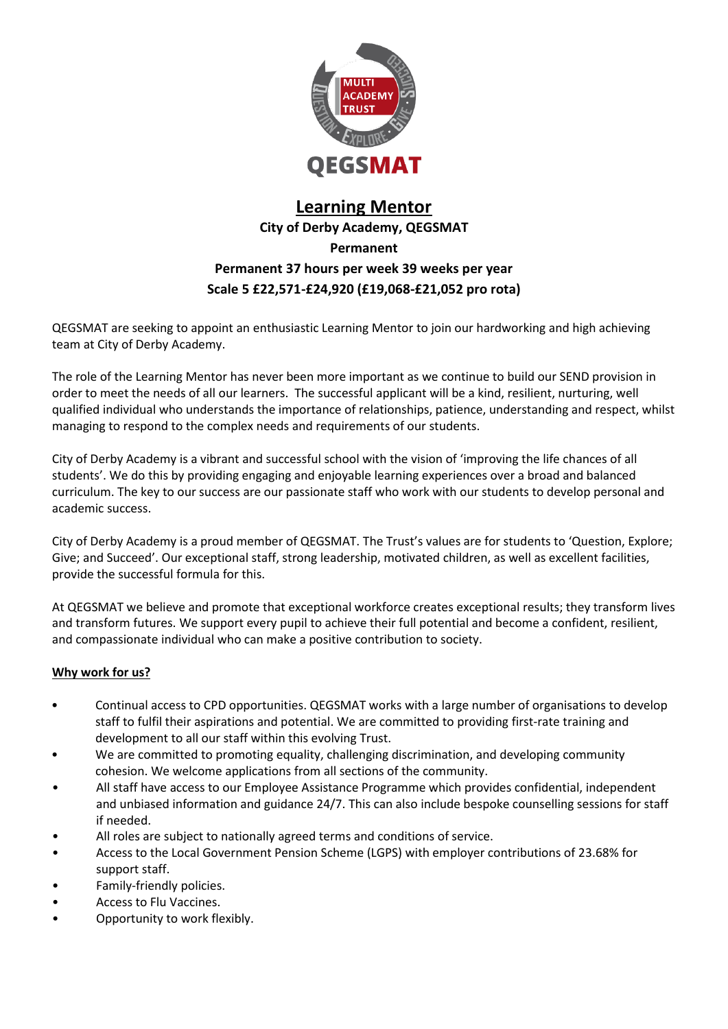

## **Learning Mentor City of Derby Academy, QEGSMAT Permanent Permanent 37 hours per week 39 weeks per year Scale 5 £22,571-£24,920 (£19,068-£21,052 pro rota)**

QEGSMAT are seeking to appoint an enthusiastic Learning Mentor to join our hardworking and high achieving team at City of Derby Academy.

The role of the Learning Mentor has never been more important as we continue to build our SEND provision in order to meet the needs of all our learners. The successful applicant will be a kind, resilient, nurturing, well qualified individual who understands the importance of relationships, patience, understanding and respect, whilst managing to respond to the complex needs and requirements of our students.

City of Derby Academy is a vibrant and successful school with the vision of 'improving the life chances of all students'. We do this by providing engaging and enjoyable learning experiences over a broad and balanced curriculum. The key to our success are our passionate staff who work with our students to develop personal and academic success.

City of Derby Academy is a proud member of QEGSMAT. The Trust's values are for students to 'Question, Explore; Give; and Succeed'. Our exceptional staff, strong leadership, motivated children, as well as excellent facilities, provide the successful formula for this.

At QEGSMAT we believe and promote that exceptional workforce creates exceptional results; they transform lives and transform futures. We support every pupil to achieve their full potential and become a confident, resilient, and compassionate individual who can make a positive contribution to society.

#### **Why work for us?**

- Continual access to CPD opportunities. QEGSMAT works with a large number of organisations to develop staff to fulfil their aspirations and potential. We are committed to providing first-rate training and development to all our staff within this evolving Trust.
- We are committed to promoting equality, challenging discrimination, and developing community cohesion. We welcome applications from all sections of the community.
- All staff have access to our Employee Assistance Programme which provides confidential, independent and unbiased information and guidance 24/7. This can also include bespoke counselling sessions for staff if needed.
- All roles are subject to nationally agreed terms and conditions of service.
- Access to the Local Government Pension Scheme (LGPS) with employer contributions of 23.68% for support staff.
- Family-friendly policies.
- Access to Flu Vaccines.
- Opportunity to work flexibly.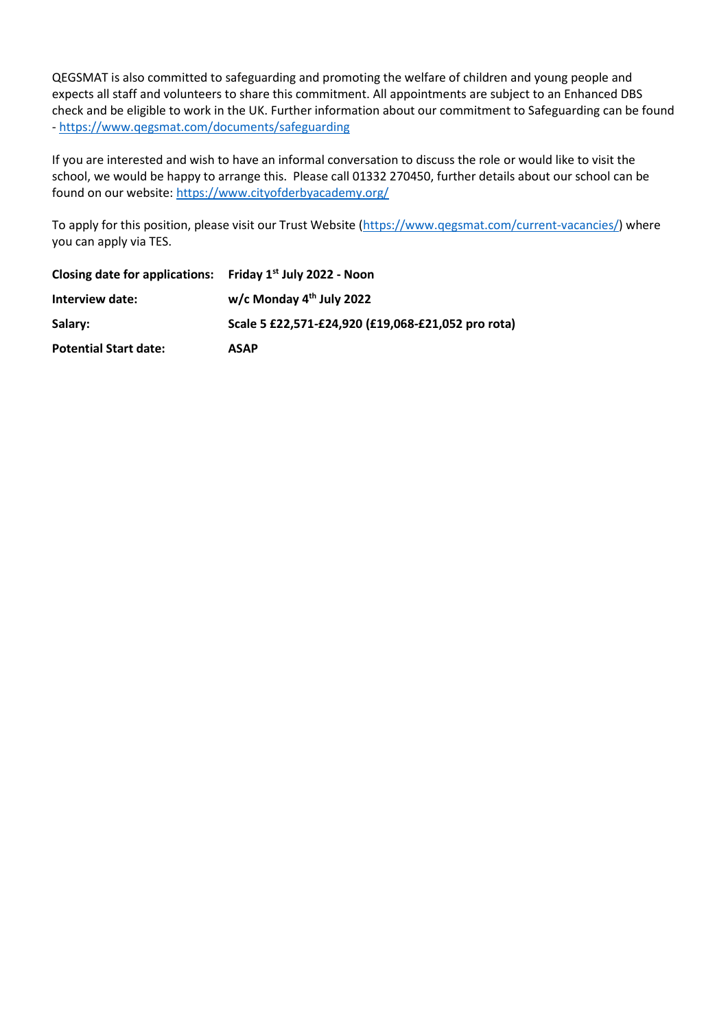QEGSMAT is also committed to safeguarding and promoting the welfare of children and young people and expects all staff and volunteers to share this commitment. All appointments are subject to an Enhanced DBS check and be eligible to work in the UK. Further information about our commitment to Safeguarding can be found - <https://www.qegsmat.com/documents/safeguarding>

If you are interested and wish to have an informal conversation to discuss the role or would like to visit the school, we would be happy to arrange this. Please call 01332 270450, further details about our school can be found on our website:<https://www.cityofderbyacademy.org/>

To apply for this position, please visit our Trust Website [\(https://www.qegsmat.com/current-vacancies/\)](https://www.qegsmat.com/current-vacancies/) where you can apply via TES.

| Closing date for applications: Friday $1st$ July 2022 - Noon |                                                    |
|--------------------------------------------------------------|----------------------------------------------------|
| Interview date:                                              | w/c Monday $4th$ July 2022                         |
| Salary:                                                      | Scale 5 £22,571-£24,920 (£19,068-£21,052 pro rota) |
| <b>Potential Start date:</b>                                 | <b>ASAP</b>                                        |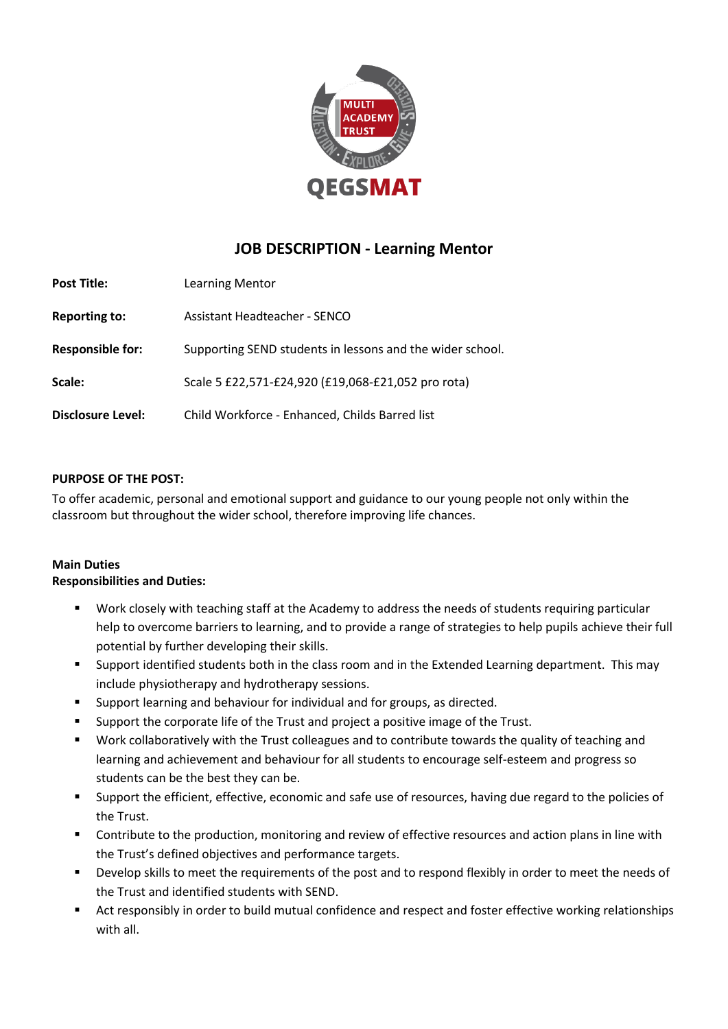

## **JOB DESCRIPTION - Learning Mentor**

| <b>Post Title:</b>       | Learning Mentor                                           |
|--------------------------|-----------------------------------------------------------|
| <b>Reporting to:</b>     | <b>Assistant Headteacher - SENCO</b>                      |
| <b>Responsible for:</b>  | Supporting SEND students in lessons and the wider school. |
| Scale:                   | Scale 5 £22,571-£24,920 (£19,068-£21,052 pro rota)        |
| <b>Disclosure Level:</b> | Child Workforce - Enhanced, Childs Barred list            |

#### **PURPOSE OF THE POST:**

To offer academic, personal and emotional support and guidance to our young people not only within the classroom but throughout the wider school, therefore improving life chances.

#### **Main Duties Responsibilities and Duties:**

- Work closely with teaching staff at the Academy to address the needs of students requiring particular help to overcome barriers to learning, and to provide a range of strategies to help pupils achieve their full potential by further developing their skills.
- Support identified students both in the class room and in the Extended Learning department. This may include physiotherapy and hydrotherapy sessions.
- Support learning and behaviour for individual and for groups, as directed.
- Support the corporate life of the Trust and project a positive image of the Trust.
- Work collaboratively with the Trust colleagues and to contribute towards the quality of teaching and learning and achievement and behaviour for all students to encourage self-esteem and progress so students can be the best they can be.
- Support the efficient, effective, economic and safe use of resources, having due regard to the policies of the Trust.
- Contribute to the production, monitoring and review of effective resources and action plans in line with the Trust's defined objectives and performance targets.
- Develop skills to meet the requirements of the post and to respond flexibly in order to meet the needs of the Trust and identified students with SEND.
- Act responsibly in order to build mutual confidence and respect and foster effective working relationships with all.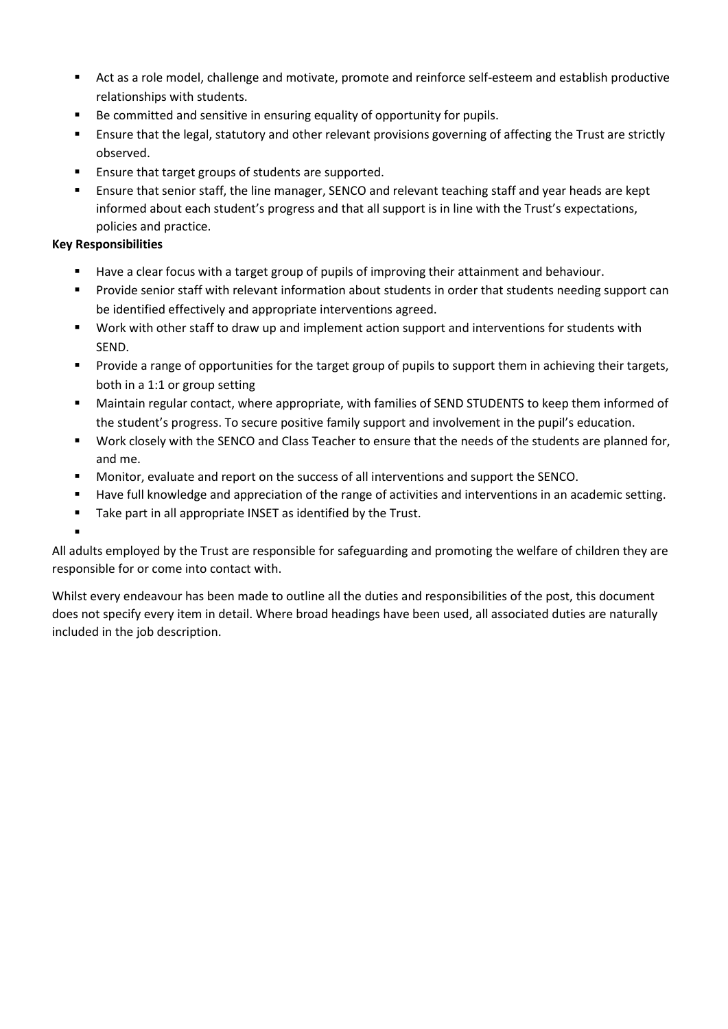- Act as a role model, challenge and motivate, promote and reinforce self-esteem and establish productive relationships with students.
- Be committed and sensitive in ensuring equality of opportunity for pupils.
- **E** Ensure that the legal, statutory and other relevant provisions governing of affecting the Trust are strictly observed.
- Ensure that target groups of students are supported.
- **E** Ensure that senior staff, the line manager, SENCO and relevant teaching staff and year heads are kept informed about each student's progress and that all support is in line with the Trust's expectations, policies and practice.

### **Key Responsibilities**

- Have a clear focus with a target group of pupils of improving their attainment and behaviour.
- Provide senior staff with relevant information about students in order that students needing support can be identified effectively and appropriate interventions agreed.
- Work with other staff to draw up and implement action support and interventions for students with SEND.
- Provide a range of opportunities for the target group of pupils to support them in achieving their targets, both in a 1:1 or group setting
- Maintain regular contact, where appropriate, with families of SEND STUDENTS to keep them informed of the student's progress. To secure positive family support and involvement in the pupil's education.
- Work closely with the SENCO and Class Teacher to ensure that the needs of the students are planned for, and me.
- Monitor, evaluate and report on the success of all interventions and support the SENCO.
- Have full knowledge and appreciation of the range of activities and interventions in an academic setting.
- Take part in all appropriate INSET as identified by the Trust.
- ▪

All adults employed by the Trust are responsible for safeguarding and promoting the welfare of children they are responsible for or come into contact with.

Whilst every endeavour has been made to outline all the duties and responsibilities of the post, this document does not specify every item in detail. Where broad headings have been used, all associated duties are naturally included in the job description.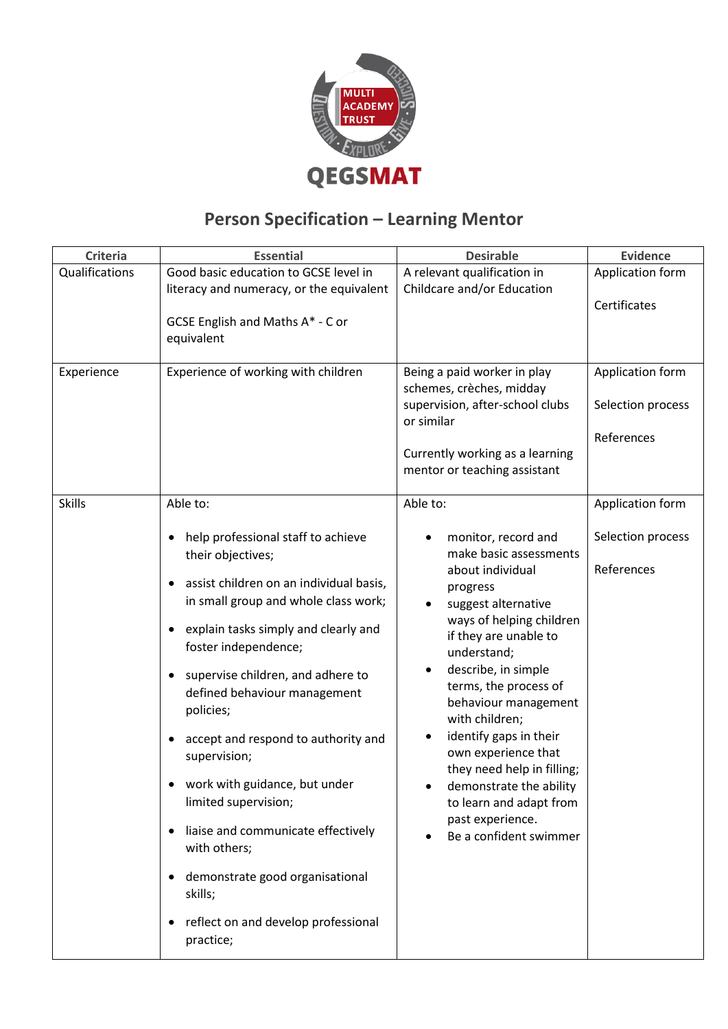

# **Person Specification – Learning Mentor**

| <b>Criteria</b> | <b>Essential</b>                                              | <b>Desirable</b>                                                                                                                                                            | <b>Evidence</b>                                     |
|-----------------|---------------------------------------------------------------|-----------------------------------------------------------------------------------------------------------------------------------------------------------------------------|-----------------------------------------------------|
| Qualifications  | Good basic education to GCSE level in                         | A relevant qualification in                                                                                                                                                 | Application form                                    |
|                 | literacy and numeracy, or the equivalent                      | Childcare and/or Education                                                                                                                                                  |                                                     |
|                 |                                                               |                                                                                                                                                                             | Certificates                                        |
|                 | GCSE English and Maths A* - C or                              |                                                                                                                                                                             |                                                     |
|                 | equivalent                                                    |                                                                                                                                                                             |                                                     |
| Experience      | Experience of working with children                           | Being a paid worker in play<br>schemes, crèches, midday<br>supervision, after-school clubs<br>or similar<br>Currently working as a learning<br>mentor or teaching assistant | Application form<br>Selection process<br>References |
| <b>Skills</b>   | Able to:                                                      | Able to:                                                                                                                                                                    | Application form                                    |
|                 |                                                               |                                                                                                                                                                             |                                                     |
|                 | help professional staff to achieve<br>٠                       | monitor, record and                                                                                                                                                         | Selection process                                   |
|                 | their objectives;                                             | make basic assessments                                                                                                                                                      |                                                     |
|                 | assist children on an individual basis,<br>٠                  | about individual                                                                                                                                                            | References                                          |
|                 | in small group and whole class work;                          | progress<br>suggest alternative                                                                                                                                             |                                                     |
|                 |                                                               | ways of helping children                                                                                                                                                    |                                                     |
| ٠               | explain tasks simply and clearly and<br>foster independence;  | if they are unable to<br>understand;                                                                                                                                        |                                                     |
|                 | supervise children, and adhere to<br>٠                        | describe, in simple<br>terms, the process of                                                                                                                                |                                                     |
|                 | defined behaviour management<br>policies;                     | behaviour management<br>with children;                                                                                                                                      |                                                     |
|                 | accept and respond to authority and                           | identify gaps in their                                                                                                                                                      |                                                     |
| $\bullet$<br>٠  | supervision;                                                  | own experience that<br>they need help in filling;                                                                                                                           |                                                     |
|                 | work with guidance, but under<br>limited supervision;         | demonstrate the ability<br>to learn and adapt from<br>past experience.<br>Be a confident swimmer                                                                            |                                                     |
|                 | liaise and communicate effectively<br>with others;            |                                                                                                                                                                             |                                                     |
|                 | demonstrate good organisational<br>skills;                    |                                                                                                                                                                             |                                                     |
|                 | reflect on and develop professional<br>$\bullet$<br>practice; |                                                                                                                                                                             |                                                     |